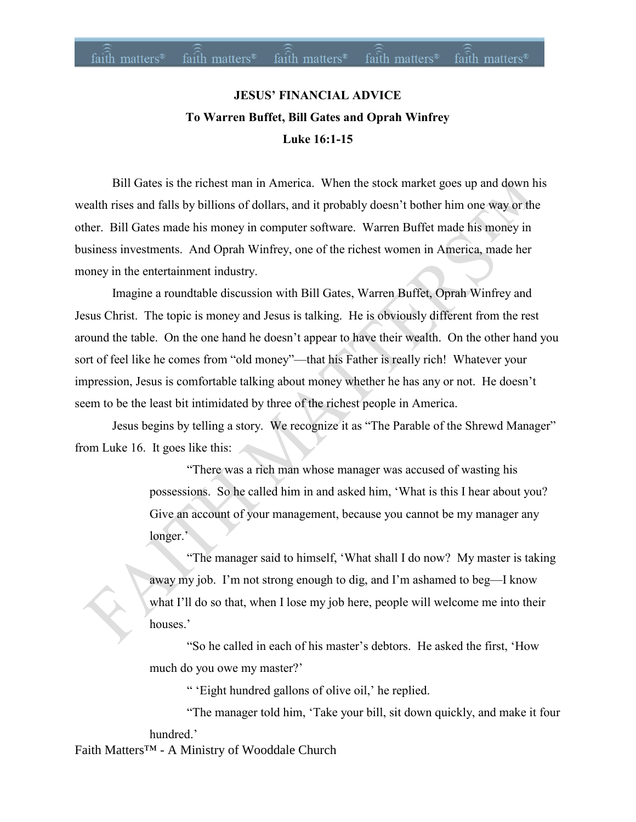# **JESUS' FINANCIAL ADVICE To Warren Buffet, Bill Gates and Oprah Winfrey Luke 16:1-15**

Bill Gates is the richest man in America. When the stock market goes up and down his wealth rises and falls by billions of dollars, and it probably doesn't bother him one way or the other. Bill Gates made his money in computer software. Warren Buffet made his money in business investments. And Oprah Winfrey, one of the richest women in America, made her money in the entertainment industry.

Imagine a roundtable discussion with Bill Gates, Warren Buffet, Oprah Winfrey and Jesus Christ. The topic is money and Jesus is talking. He is obviously different from the rest around the table. On the one hand he doesn't appear to have their wealth. On the other hand you sort of feel like he comes from "old money"—that his Father is really rich! Whatever your impression, Jesus is comfortable talking about money whether he has any or not. He doesn't seem to be the least bit intimidated by three of the richest people in America.

Jesus begins by telling a story. We recognize it as "The Parable of the Shrewd Manager" from Luke 16. It goes like this:

> "There was a rich man whose manager was accused of wasting his possessions. So he called him in and asked him, 'What is this I hear about you? Give an account of your management, because you cannot be my manager any longer.'

"The manager said to himself, 'What shall I do now? My master is taking away my job. I'm not strong enough to dig, and I'm ashamed to beg—I know what I'll do so that, when I lose my job here, people will welcome me into their houses.'

"So he called in each of his master's debtors. He asked the first, 'How much do you owe my master?'

" 'Eight hundred gallons of olive oil,' he replied.

"The manager told him, 'Take your bill, sit down quickly, and make it four hundred.'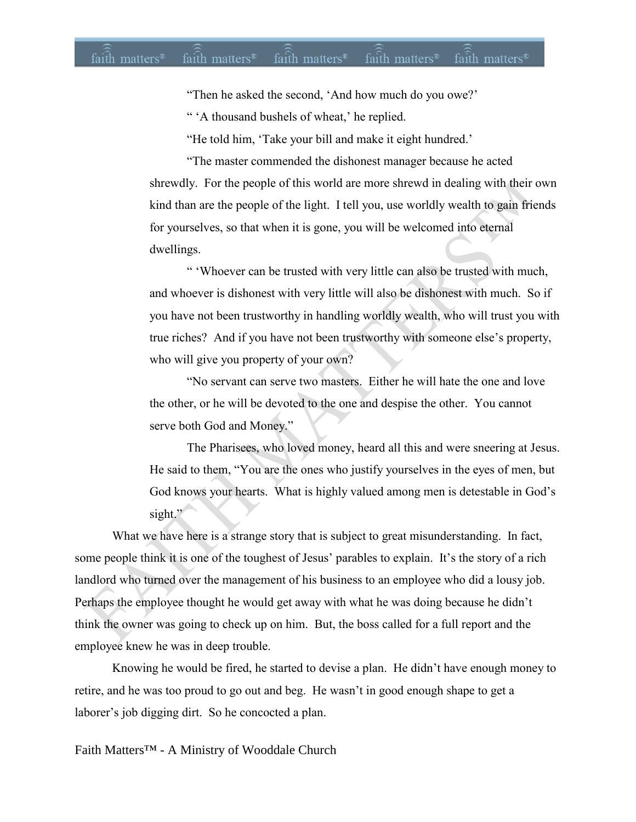"Then he asked the second, 'And how much do you owe?'

" 'A thousand bushels of wheat,' he replied.

"He told him, 'Take your bill and make it eight hundred.'

"The master commended the dishonest manager because he acted shrewdly. For the people of this world are more shrewd in dealing with their own kind than are the people of the light. I tell you, use worldly wealth to gain friends for yourselves, so that when it is gone, you will be welcomed into eternal dwellings.

" 'Whoever can be trusted with very little can also be trusted with much, and whoever is dishonest with very little will also be dishonest with much. So if you have not been trustworthy in handling worldly wealth, who will trust you with true riches? And if you have not been trustworthy with someone else's property, who will give you property of your own?

"No servant can serve two masters. Either he will hate the one and love the other, or he will be devoted to the one and despise the other. You cannot serve both God and Money."

The Pharisees, who loved money, heard all this and were sneering at Jesus. He said to them, "You are the ones who justify yourselves in the eyes of men, but God knows your hearts. What is highly valued among men is detestable in God's sight."

What we have here is a strange story that is subject to great misunderstanding. In fact, some people think it is one of the toughest of Jesus' parables to explain. It's the story of a rich landlord who turned over the management of his business to an employee who did a lousy job. Perhaps the employee thought he would get away with what he was doing because he didn't think the owner was going to check up on him. But, the boss called for a full report and the employee knew he was in deep trouble.

Knowing he would be fired, he started to devise a plan. He didn't have enough money to retire, and he was too proud to go out and beg. He wasn't in good enough shape to get a laborer's job digging dirt. So he concocted a plan.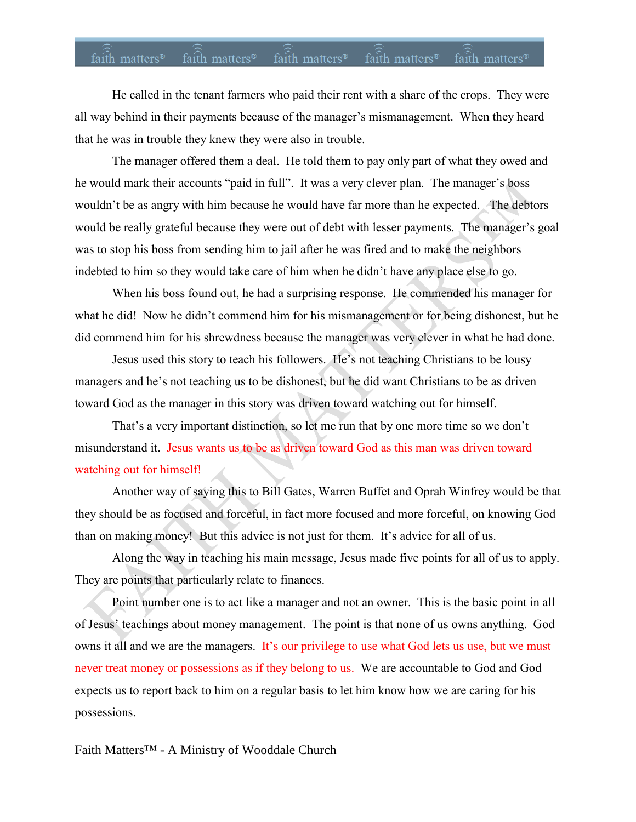# faith matters<sup>®</sup> faith matters<sup>®</sup> faith matters<sup>®</sup> faith matters<sup>®</sup> faith matters<sup>®</sup>

He called in the tenant farmers who paid their rent with a share of the crops. They were all way behind in their payments because of the manager's mismanagement. When they heard that he was in trouble they knew they were also in trouble.

The manager offered them a deal. He told them to pay only part of what they owed and he would mark their accounts "paid in full". It was a very clever plan. The manager's boss wouldn't be as angry with him because he would have far more than he expected. The debtors would be really grateful because they were out of debt with lesser payments. The manager's goal was to stop his boss from sending him to jail after he was fired and to make the neighbors indebted to him so they would take care of him when he didn't have any place else to go.

When his boss found out, he had a surprising response. He commended his manager for what he did! Now he didn't commend him for his mismanagement or for being dishonest, but he did commend him for his shrewdness because the manager was very clever in what he had done.

Jesus used this story to teach his followers. He's not teaching Christians to be lousy managers and he's not teaching us to be dishonest, but he did want Christians to be as driven toward God as the manager in this story was driven toward watching out for himself.

That's a very important distinction, so let me run that by one more time so we don't misunderstand it. Jesus wants us to be as driven toward God as this man was driven toward watching out for himself!

Another way of saying this to Bill Gates, Warren Buffet and Oprah Winfrey would be that they should be as focused and forceful, in fact more focused and more forceful, on knowing God than on making money! But this advice is not just for them. It's advice for all of us.

Along the way in teaching his main message, Jesus made five points for all of us to apply. They are points that particularly relate to finances.

Point number one is to act like a manager and not an owner. This is the basic point in all of Jesus' teachings about money management. The point is that none of us owns anything. God owns it all and we are the managers. It's our privilege to use what God lets us use, but we must never treat money or possessions as if they belong to us. We are accountable to God and God expects us to report back to him on a regular basis to let him know how we are caring for his possessions.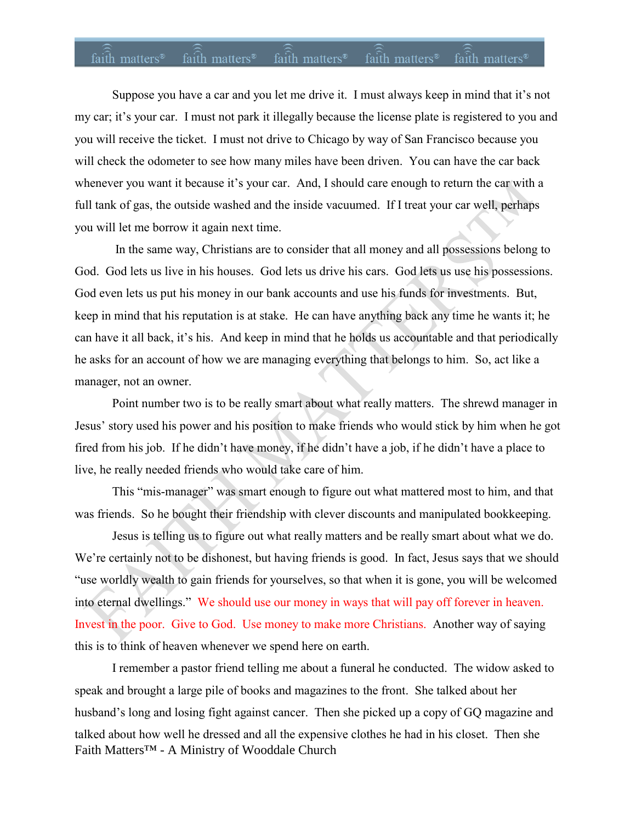# faith matters<sup>®</sup> faith matters<sup>®</sup> faith matters<sup>®</sup> faith matters<sup>®</sup> faith matters<sup>®</sup>

Suppose you have a car and you let me drive it. I must always keep in mind that it's not my car; it's your car. I must not park it illegally because the license plate is registered to you and you will receive the ticket. I must not drive to Chicago by way of San Francisco because you will check the odometer to see how many miles have been driven. You can have the car back whenever you want it because it's your car. And, I should care enough to return the car with a full tank of gas, the outside washed and the inside vacuumed. If I treat your car well, perhaps you will let me borrow it again next time.

In the same way, Christians are to consider that all money and all possessions belong to God. God lets us live in his houses. God lets us drive his cars. God lets us use his possessions. God even lets us put his money in our bank accounts and use his funds for investments. But, keep in mind that his reputation is at stake. He can have anything back any time he wants it; he can have it all back, it's his. And keep in mind that he holds us accountable and that periodically he asks for an account of how we are managing everything that belongs to him. So, act like a manager, not an owner.

Point number two is to be really smart about what really matters. The shrewd manager in Jesus' story used his power and his position to make friends who would stick by him when he got fired from his job. If he didn't have money, if he didn't have a job, if he didn't have a place to live, he really needed friends who would take care of him.

This "mis-manager" was smart enough to figure out what mattered most to him, and that was friends. So he bought their friendship with clever discounts and manipulated bookkeeping.

Jesus is telling us to figure out what really matters and be really smart about what we do. We're certainly not to be dishonest, but having friends is good. In fact, Jesus says that we should "use worldly wealth to gain friends for yourselves, so that when it is gone, you will be welcomed into eternal dwellings." We should use our money in ways that will pay off forever in heaven. Invest in the poor. Give to God. Use money to make more Christians. Another way of saying this is to think of heaven whenever we spend here on earth.

Faith Matters™ - A Ministry of Wooddale Church I remember a pastor friend telling me about a funeral he conducted. The widow asked to speak and brought a large pile of books and magazines to the front. She talked about her husband's long and losing fight against cancer. Then she picked up a copy of GQ magazine and talked about how well he dressed and all the expensive clothes he had in his closet. Then she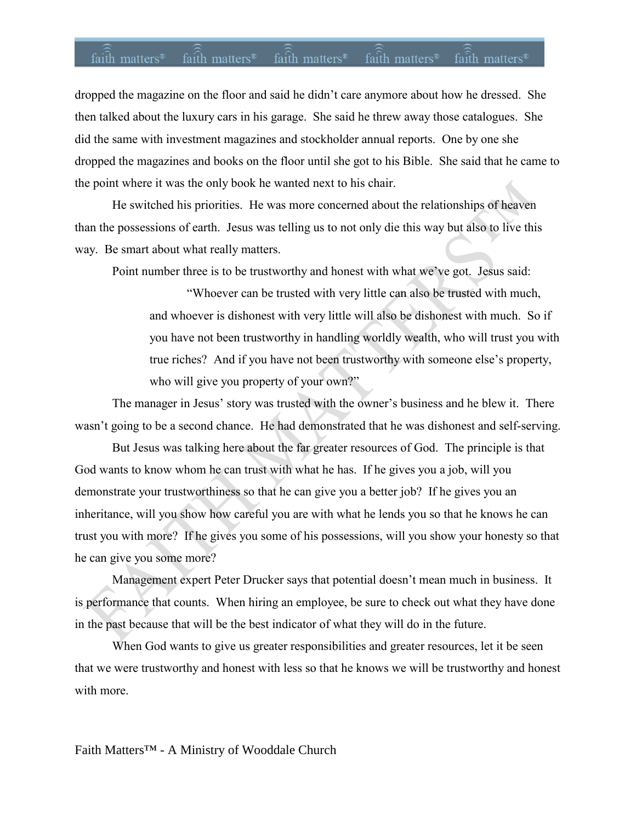#### faith matters<sup>®</sup> faith matters<sup>®</sup> faith matters® faith matters® faith matters®

dropped the magazine on the floor and said he didn't care anymore about how he dressed. She then talked about the luxury cars in his garage. She said he threw away those catalogues. She did the same with investment magazines and stockholder annual reports. One by one she dropped the magazines and books on the floor until she got to his Bible. She said that he came to the point where it was the only book he wanted next to his chair.

He switched his priorities. He was more concerned about the relationships of heaven than the possessions of earth. Jesus was telling us to not only die this way but also to live this way. Be smart about what really matters.

Point number three is to be trustworthy and honest with what we've got. Jesus said:

"Whoever can be trusted with very little can also be trusted with much, and whoever is dishonest with very little will also be dishonest with much. So if you have not been trustworthy in handling worldly wealth, who will trust you with true riches? And if you have not been trustworthy with someone else's property, who will give you property of your own?"

The manager in Jesus' story was trusted with the owner's business and he blew it. There wasn't going to be a second chance. He had demonstrated that he was dishonest and self-serving.

But Jesus was talking here about the far greater resources of God. The principle is that God wants to know whom he can trust with what he has. If he gives you a job, will you demonstrate your trustworthiness so that he can give you a better job? If he gives you an inheritance, will you show how careful you are with what he lends you so that he knows he can trust you with more? If he gives you some of his possessions, will you show your honesty so that he can give you some more?

Management expert Peter Drucker says that potential doesn't mean much in business. It is performance that counts. When hiring an employee, be sure to check out what they have done in the past because that will be the best indicator of what they will do in the future.

When God wants to give us greater responsibilities and greater resources, let it be seen that we were trustworthy and honest with less so that he knows we will be trustworthy and honest with more.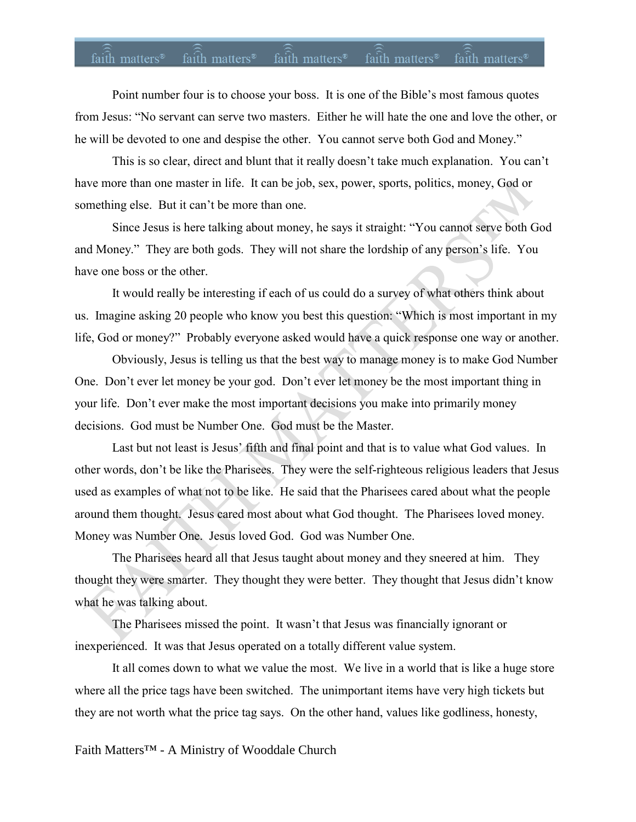# faith matters<sup>®</sup> faith matters<sup>®</sup> faith matters<sup>®</sup> faith matters<sup>®</sup> faith matters<sup>®</sup>

Point number four is to choose your boss. It is one of the Bible's most famous quotes from Jesus: "No servant can serve two masters. Either he will hate the one and love the other, or he will be devoted to one and despise the other. You cannot serve both God and Money."

This is so clear, direct and blunt that it really doesn't take much explanation. You can't have more than one master in life. It can be job, sex, power, sports, politics, money, God or something else. But it can't be more than one.

Since Jesus is here talking about money, he says it straight: "You cannot serve both God and Money." They are both gods. They will not share the lordship of any person's life. You have one boss or the other.

It would really be interesting if each of us could do a survey of what others think about us. Imagine asking 20 people who know you best this question: "Which is most important in my life, God or money?" Probably everyone asked would have a quick response one way or another.

Obviously, Jesus is telling us that the best way to manage money is to make God Number One. Don't ever let money be your god. Don't ever let money be the most important thing in your life. Don't ever make the most important decisions you make into primarily money decisions. God must be Number One. God must be the Master.

Last but not least is Jesus' fifth and final point and that is to value what God values. In other words, don't be like the Pharisees. They were the self-righteous religious leaders that Jesus used as examples of what not to be like. He said that the Pharisees cared about what the people around them thought. Jesus cared most about what God thought. The Pharisees loved money. Money was Number One. Jesus loved God. God was Number One.

The Pharisees heard all that Jesus taught about money and they sneered at him. They thought they were smarter. They thought they were better. They thought that Jesus didn't know what he was talking about.

The Pharisees missed the point. It wasn't that Jesus was financially ignorant or inexperienced. It was that Jesus operated on a totally different value system.

It all comes down to what we value the most. We live in a world that is like a huge store where all the price tags have been switched. The unimportant items have very high tickets but they are not worth what the price tag says. On the other hand, values like godliness, honesty,